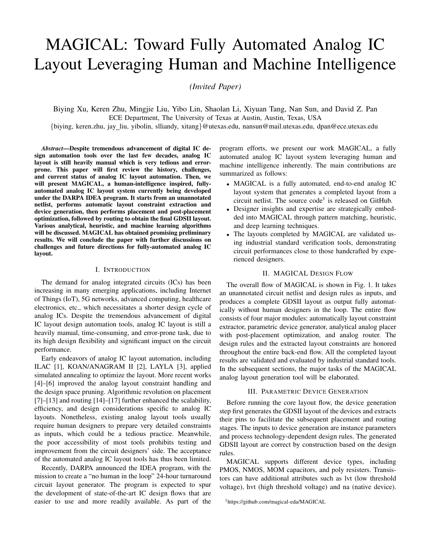# MAGICAL: Toward Fully Automated Analog IC Layout Leveraging Human and Machine Intelligence

*(Invited Paper)*

Biying Xu, Keren Zhu, Mingjie Liu, Yibo Lin, Shaolan Li, Xiyuan Tang, Nan Sun, and David Z. Pan ECE Department, The University of Texas at Austin, Austin, Texas, USA

{biying, keren.zhu, jay liu, yibolin, slliandy, xitang}@utexas.edu, nansun@mail.utexas.edu, dpan@ece.utexas.edu

*Abstract*—Despite tremendous advancement of digital IC design automation tools over the last few decades, analog IC layout is still heavily manual which is very tedious and errorprone. This paper will first review the history, challenges, and current status of analog IC layout automation. Then, we will present MAGICAL, a human-intelligence inspired, fullyautomated analog IC layout system currently being developed under the DARPA IDEA program. It starts from an unannotated netlist, performs automatic layout constraint extraction and device generation, then performs placement and post-placement optimization, followed by routing to obtain the final GDSII layout. Various analytical, heuristic, and machine learning algorithms will be discussed. MAGICAL has obtained promising preliminary results. We will conclude the paper with further discussions on challenges and future directions for fully-automated analog IC layout.

#### I. INTRODUCTION

The demand for analog integrated circuits (ICs) has been increasing in many emerging applications, including Internet of Things (IoT), 5G networks, advanced computing, healthcare electronics, etc., which necessitates a shorter design cycle of analog ICs. Despite the tremendous advancement of digital IC layout design automation tools, analog IC layout is still a heavily manual, time-consuming, and error-prone task, due to its high design flexibility and significant impact on the circuit performance.

Early endeavors of analog IC layout automation, including ILAC [1], KOAN/ANAGRAM II [2], LAYLA [3], applied simulated annealing to optimize the layout. More recent works [4]–[6] improved the analog layout constraint handling and the design space pruning. Algorithmic revolution on placement [7]–[13] and routing [14]–[17] further enhanced the scalability, efficiency, and design considerations specific to analog IC layouts. Nonetheless, existing analog layout tools usually require human designers to prepare very detailed constraints as inputs, which could be a tedious practice. Meanwhile, the poor accessibility of most tools prohibits testing and improvement from the circuit designers' side. The acceptance of the automated analog IC layout tools has thus been limited.

Recently, DARPA announced the IDEA program, with the mission to create a "no human in the loop" 24-hour turnaround circuit layout generator. The program is expected to spur the development of state-of-the-art IC design flows that are easier to use and more readily available. As part of the program efforts, we present our work MAGICAL, a fully automated analog IC layout system leveraging human and machine intelligence inherently. The main contributions are summarized as follows:

- MAGICAL is a fully automated, end-to-end analog IC layout system that generates a completed layout from a circuit netlist. The source  $code<sup>1</sup>$  is released on GitHub.
- Designer insights and expertise are strategically embedded into MAGICAL through pattern matching, heuristic, and deep learning techniques.
- The layouts completed by MAGICAL are validated using industrial standard verification tools, demonstrating circuit performances close to those handcrafted by experienced designers.

# II. MAGICAL DESIGN FLOW

The overall flow of MAGICAL is shown in Fig. 1. It takes an unannotated circuit netlist and design rules as inputs, and produces a complete GDSII layout as output fully automatically without human designers in the loop. The entire flow consists of four major modules: automatically layout constraint extractor, parametric device generator, analytical analog placer with post-placement optimization, and analog router. The design rules and the extracted layout constraints are honored throughout the entire back-end flow. All the completed layout results are validated and evaluated by industrial standard tools. In the subsequent sections, the major tasks of the MAGICAL analog layout generation tool will be elaborated.

#### III. PARAMETRIC DEVICE GENERATION

Before running the core layout flow, the device generation step first generates the GDSII layout of the devices and extracts their pins to facilitate the subsequent placement and routing stages. The inputs to device generation are instance parameters and process technology-dependent design rules. The generated GDSII layout are correct by construction based on the design rules.

MAGICAL supports different device types, including PMOS, NMOS, MOM capacitors, and poly resisters. Transistors can have additional attributes such as lvt (low threshold voltage), hvt (high threshold voltage) and na (native device).

<sup>1</sup>https://github.com/magical-eda/MAGICAL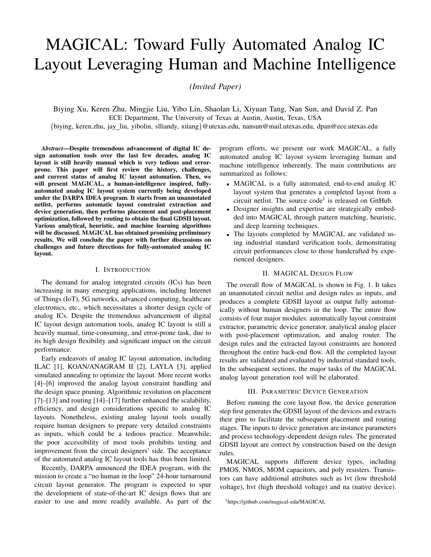

Fig. 1. Overall flow of MAGICAL analog layout system.

The automatic parametric device generation considers the number of fingers for transistors, the number of segments for resistors, the metal layers for Metal-Oxide-Metal (MOM) capacitors, etc. Fig. 2 shows examples of the layouts of different types of devices generated by MAGICAL.

Pin information of the devices is extracted in this step. The pin shape with the minimal area is selected as the drain of a transistor to reduce drain parasitic capacitance. Lower metal layer shapes connected to the terminals of the devices are selected as the pins used for routing.



Fig. 2. Examples of generated devices from MAGICAL. (a) NMOS, (b) PMOS with guard ring, (c) MOM capacitor, and (d) poly resistor.

#### IV. ANALOG LAYOUT CONSTRAINT EXTRACTION

The layout constraint extractor takes circuit netlist as input and generates constraints to guide the later stages. Symmetry constraints are one of the most essential and widely adopted constraints applied during analog layout synthesis. Analog designs frequently use differential topologies to reject common-mode noise and enhance circuit robustness and performance [18]. Mismatch of sensitive devices in the layouts often cause performance degradation to offset and commonmode rejection ratio (CMRR) [19]. Thus correctly identifying symmetry constraints between sensitive devices are crucial for ensuring the quality of placement and routing.

The constraint extraction reads in the input netlist and generates constraints for placement and routing based on the circuit connections. A significant challenge for constraint extraction is in generating high-quality constraints and resolving constraint



Fig. 3. Layout constraint extraction illustration. (a) Pattern library, (b) bias circuit symmetry detection, and (c) signal flow based traversal.

ambiguity. The automated placement and routing symmetry constraint extraction mainly consist of four stages listed below.

## *A. Graph Abstraction*

Our constraint extraction is based on analysis of the graph abstracted from the circuit netlist. Firstly, the netlist file is parsed, and the circuit is abstracted into a graph representation. Since the pin connection information is crucial to the topological structure of analog circuits, we preserve pin information during the abstraction. Devices, pins, and nets are all represented as nodes. Pins are connected to the device they belong to. Nets connect to pins based on the circuit netlist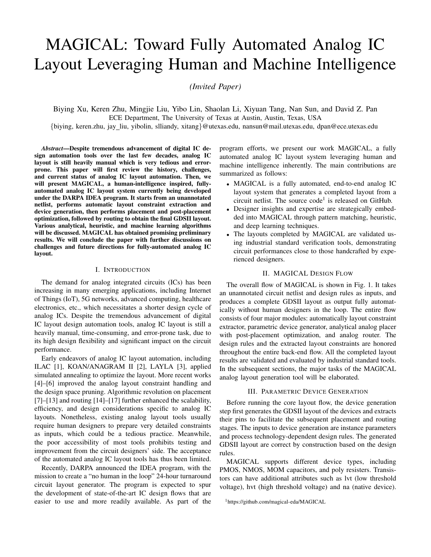connections. Nets are never directly connected to devices in our graph representation since they alway connect to pins first.

# *B. Seed Pattern Detection*

Transistor pairs that form certain structural patterns are detected as seed symmetric device pairs. These seed patterns are the starting or ending points for graph traversal in the next stage. Seed patterns are those in the pattern library where the source of the transistor pins are connected. Instead of using expensive graph isomorphism algorithms [20]–[23], we check the connection relationships and device attributes between the pairs of devices for matching. As an example, for recognizing differential pairs, we iterate all pairs of transistors connected to the same net through source pins and check if the gate pins are connected to different nets and the device attributes match. To better resolve constraint ambiguity, especially where digital circuits are extensively used in mixed-signal designs, we recognize differential pairs as seed patterns only if the connected source net is the virtual ground node (not power or ground nets).

# *C. Signal Flow Based Graph Traversal*

We traverse the graph from the seed symmetric device pairs while recognizing new constraint patterns. This step is analogous to following the differential current in small-signal analysis [18]. Graph traversal not only expands the recognized constraints but also helps with reducing constraint ambiguity since the graph connections with other patterns guide the pattern matching process. Matching between passive device elements are also considered. For each pattern, we define current directions to guide the graph traversal process. As an example, if a cascode transistor pair pattern is reached through the source pins, the nets to proceed with graph traversal are the nets connected to the drain pins. Graph traversal ends when the two flow paths meet at the source connected transistors such as other seed patterns, or connected passive device elements. The visited symmetric transistor patterns from the same seed pattern during graph traversal form a symmetric group which would share the same symmetry axis in the placement. Nets connecting symmetric device pairs are recognized as symmetric nets.

# *D. Constraints Post-processing*

In the last step, we post-process the symmetric groups and recognize additional symmetry constraints, including selfsymmetric devices connected to virtual ground nodes and symmetric transistor pairs in the bias circuits. Virtual ground and certain clock nets are identified as self-symmetric nets. Bias circuit symmetry is detected by checking commongate connected transistors and searching for diode-connected transistors. Additional symmetry constraints in the bias circuits are detected in this step. Since it may not be feasible to satisfy all the extracted constraints in the placement stage, to guarantee feasibility, we currently only allow a device have at most one symmetry constraint. More advanced matchingoriented constraints such as regularity and common-centroid would be supported in future versions of MAGICAL.

Fig. 3 shows the library of some transistor patterns, detection of bias circuit symmetry, and an example of signal flow based graph traversal for constraint extraction.

# V. ANALOG PLACEMENT

Given the placement constraints and devices generated in the previous steps, we develop an analog placement engine. The inputs to the placer include the circuit netlist, extracted constraints, generated devices, and process technologydependent design rules. The outputs are the legalized GDSII layout of the placement result and pin information for routing. Besides symmetric group constraints, it also supports net criticality constraints if specified, by minimizing the weighted net lengths according to the its criticality. The placement engine consists of a core placement stage and a post-placement optimization stage.

#### *A. Placement Algorithm*

The core placer follows an analytical framework as in [24]. First, the global placement simultaneously optimizes multiple objectives in a non-linear objective function. Then, the legalization step generates a legal placement solution honoring the global placement result while satisfying the symmetry constraints and design rules. Finally, a linear programming (LP) based detailed placement is used to further optimize the wirelength.

*1) Global Placement:* Our global placement is similar to the non-linear global placement algorithms as in [13], [25], which simultaneously considers the following: (1) wirelength, (2) device overlapping, (3) placement boundary, and (4) symmetry constraints from the constraint extraction stage. To be specific, it minimizes the objective shown in Equation (1) using unconstrained non-linear conjugate gradient method.

$$
Objective = f_{WL} + a \cdot f_{OL} + b \cdot f_{BND} + c \cdot f_{SYM}. \quad (1)
$$

where:

- $f_{WL}$  is the wirelength objective, which is defined as the total half-perimeter wirelength (HPWL).
- $f_{OL}$  is the overlap penalty, which is modeled as an area overlap function similar to [26].
- $f_{BND}$  is the penalty of violating the boundary constraints. To control the circuit area, white space ratio, and aspect ratio, a desirable placement bounding box for the design is derived.
- The last term  $f_{SYM}$  penalizes the violation of symmetry constraint, which requires: (1) each symmetric device pair within the same group to be symmetric with respect to the same axis; (2) the self-symmetric devices to be selfsymmetric with respect to the same axis of the group.
- $a, b,$  and  $c$  are the coefficients to realize the trade-off between different objective terms.

Log-sum-exponential (LSE) models [27] are used to smooth the max and min functions in the objective. Our non-linear optimization-based global placement runs iteratively, until all the penalties are below the specified thresholds, or the predefined maximum number of iterations is reached. By gradually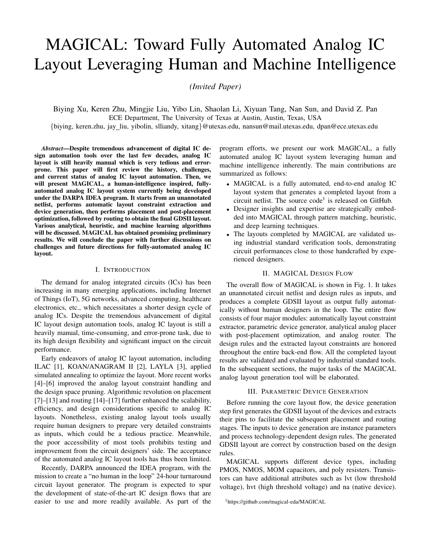adjusting the coefficient values  $a, b$ , and  $c$  of different penalty functions in each iteration, we can get a global placement result encouraging symmetry and boundary constraints with short wirelength and small device overlapping.

*2) Legalization and Detailed Placement:* After global placement, we perform a legalization step to get a placement free from device overlapping, design rule violation, and symmetry constraint violation. During this step, we develop algorithms to construct the constraint graphs, and legalize the global placement result using LP-based compaction given the constructed constraint graphs.

Our constraint graph construction algorithm is based on the plane sweep algorithm presented in [28]. This algorithm encounters problems when the global placement result has overlaps between devices, which may over-constrain the legalization and result in a sub-optimal area. To get a more compact placement after legalization, we will remove the excessive constraint edges between each pair of overlapping devices by determining their relative positions greedily, i.e., to spread them in the direction that would induce less displacement. We will only keep the constraint edge corresponding to the chosen spreading direction, while other edges between them will be removed.

Nevertheless, there may be missing positional constraints in the constraint graphs obtained. A depth-first-search (DFS) based algorithm is developed in order to detect those missing positional constraint edges. Readers are referred to [24] for the detailed implementation. If both horizontal and vertical positional constraints are missing according to the DFS-based algorithm, we will add one edge to either the vertical or horizontal constraint graph greedily. To be specific, if the vertical spacing is larger than the horizontal spacing between the two devices in the global placement solution, we will add an edge to the vertical constraint graph. The horizontal constraint edges can be added similarly. We will also perform transitive reduction on both horizontal and vertical constraint graphs to remove the transitive edges.

After constructing the constraint graphs, we can get a legal compact placement solution using LP in accordance with the constraint graphs. There are two sets of constraints which are topology order (non-overlap) and symmetry constraints. The topology order constraints are from the constraint graphs obtained, while the symmetry constraints are from the layout constraint extraction stage.

Finally, we will perform LP-based detailed placement to further optimize the wirelength for the given legal placement. Symmetric group constraints and design rules are also honored during this step.

## *B. Post-Placement Optimization*

After the device locations are determined in the placement stage, the post-placement step generates the well islands, and establishes the bulk and substrate connection pins for routing.

Our well island generation supports different approaches. The polygon-based approach follows WellGAN [29], a deep neural network-guided well generation framework. A trained generative adversarial network (GAN) model provides the guidance of the well island shapes, and a refinement step is performed to legalize the layout result given the GAN guidance. In general, this approach may generate more compact layout designs. However, legalizing the polygonal well islands can be challenging, and it may degrade the post-layout circuit performance due to layout-dependent effects if handled improperly, especially in advanced process technology nodes.

In face of the challenges posed by the polygon-based well generation approach, MAGICAL also supports generating rectangular well islands for each individual devices with wells. This approach can overcome the legalization difficulty and performance effects of WellGAN, at the cost of slightly increased total area and routing complexity. In fact, for high-performance analog designs, circuit performance is often considered more important than the total area. Moreover, the number of nets in an analog circuit is usually relatively few compared with the layout area. Hence, routability is generally not a critical issue for analog circuit layouts. From this perspectives, generating individual wells for certain devices could also be a desirable practice.

After well generation, MAGICAL will automatically establish the well island and substrate connection points. Both guard rings and contacts are supported and can be inserted free from design rule violation by construction. After that, we will legalize and spread out the well islands with the consideration of design rules. Finally, the placement result in GDSII format as well as the pins of the devices, well islands, and the substrate will be output for routing.

# VI. ANALOG ROUTING

After the placement and post-placement optimization stage, an end-to-end router connects all the pins with metal wires in aware of the analog circuit-specific constraints and design consideration.

In addition to connectivity and design rules, analog routing problem is also imposed with symmetric net constraints for matching [30]. In MAGICAL, the routing engine takes inputs from the layout constraint generator and honors the symmetric and self-symmetric constraints for nets. Out analog routing consists of two stages, global and detailed routing, similar to the conventional digital routing flow. In the global routing stage, the design is divided into rough grids, and the topology of routing is generated. The purpose of global routing is to efficiently find a global routing solution without extensively spending computational resources in the detailed design rule and congestion resolving. While in the detailed routing stage, the physical geometry of metal wires are implemented following the global routing guide, symmetric constraints, and design rules.

# *A. Global Routing*

A sequential symmetry-aware grid-based A\* search routing engine is employed in global routing stage.

Before performing the routing, several steps are executed on the input placement solution and the process technology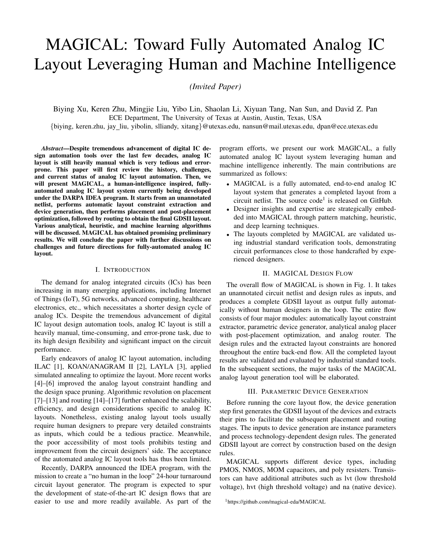information. The placement is firstly divided into grid cells unified in size. By default, MAGICAL decides on the width and height of each grid cell based on track width on M1 layer. To be specific, the global routing will attempt to divide the layout into 3D grid so that the width and height of each grid cell are four-track widths. However, as computation efficiency is low when the number of grid cells is relatively large, MAGICAL limits the amount of grid cells to be below  $200 \times 200 \times N_{layers}$ , where  $N_{layers}$  denotes the number of layers. After generating the routing grid, routing capacity is calculated on 2D grid edges based on the actual grid cell width and track width.

Besides the global routing grid, the input pins are preprocessed before routing. Unlike cell-based digital physical design flow, customized analog circuit devices do not have an identical convention of pins such as layer and shape. Pin shapes could be polygons varied in size and shape, depending on the device type and parameters. In MAGICAL routing engine, the pins are decomposed into searching points in the path search scheme. The polygon is firstly separated into rectangles. The intersection points between the center lines of the resulting rectangles and the tracks of the metal layer above are identified as the search points. If no search point is identified based on the strategy above, the center points of the rectangles are considered as the search points in the  $A^*$ search algorithm.

After processing the input placement, every multi-pin net is split into two-pin nets based on minimum spanning tree with HPWL as the edge costs. The two-pin net splitting is matched for symmetric net pairs so that the symmetry is maintained. Then symmetric net pairs and self-symmetric nets are routed on the 3D global routing grid with exact symmetry along the symmetric axis. A rip-up and reroute scheme is applied when failing to achieve a feasible solution in the early iterations.

#### *B. Detailed Routing*

After determining the rough routing topology in the global routing stage, detailed routing engine completes the routing and assigns metal wire geometries to each net. Similar to the global routing, a sequential A\* search kernel is applied. However, instead of routing abstract nets on the rough global routing grid, detailed router explicitly handles design rules in physical layouts.

Since the input pins and previously generated search points are not necessarily aligned with the routing tracks, the detailed analog routing engine does not restrict the wire segments and VIAs to be exactly aligned with routing tracks as its digital counterpart. Instead, they only need to align to the manufacturing grid specified in the process technology design rules. The detailed router will attempt to search for the path for the nets on multiple layers with default search step of track width. The design rules of metal wires and VIAs are checked during the A\* search. When routing the symmetric net pairs or self-symmetric nets, both the two sides are routed at the same time. Therefore the resulting routing solution is feasible for both sides of the symmetric axis.

After the detailed routing stage, a complete placed and routed layout is generated fully automatically, and a GDSII format layout file is exported.

Due to the complexity of analog routing, other analog circuit-specific routing considerations will also be incorporated into MAGICAL to improve the post-layout circuit performance. The preliminary results in GeniusRoute [31] demonstrate the effectiveness of our neural network guided analog routing techniques.

# VII. EXPERIMENTAL RESULTS

The MAGICAL flow is implemented in Python and C/C++, and the experiments are performed on a Linux server with an 8-core 3.4GHz Intel(R) CPU and 32GB memory. The layout results are validated using Calibre DRC/LVS/PEX, and evaluated using Cadence Virtuoso ADE simulation environment.

TABLE I RESULTS OF THE COMPARATOR CIRCUIT (COMP).

| <b>Metrics</b> | Output<br>Delay (ps) | Input-referred<br>Noise $(\mu Vrms)$ | Power<br>$(\mu W)$ | Input-referred<br>Offset $(mV)$ |
|----------------|----------------------|--------------------------------------|--------------------|---------------------------------|
| Manual         | .50                  | 380                                  | 16.8               | 0.15                            |
| <b>MAGICAL</b> | 152                  | 334                                  | 18.7               | 0.50                            |

TABLE II RESULTS OF THE MILLER-COMPENSATED OTA (OTA1).

| <b>Metrics</b> | Gain | UGB   | PM       | Noise               | <b>CMRR</b> | Offset |
|----------------|------|-------|----------|---------------------|-------------|--------|
|                | (dB) | 'MHz) | (degree) | $(\mu \text{Vrms})$ | (dB)        | (mV)   |
| Manual         |      | 110.0 | 67.8     | 219.0               | 103.0       | 0.20   |
| <b>MAGICAL</b> | 38.0 | 107.5 | 62.3     | 221.5               | 92.5        | 0.48   |

TABLE III RESULTS OF THE FEED-FORWARD COMPENSATED OTA (OTA2).

| <b>Metrics</b> | Gain<br>(dB) | UGB<br>(MHz) | PМ<br>(degree) | <b>CMRR</b><br>(dB) | Offset<br>(mV)           |
|----------------|--------------|--------------|----------------|---------------------|--------------------------|
| Manual         | 35.3         | 2200         | 77.6           | 126.1               | $< \hspace{-0.05cm}0.01$ |
| MAGICAL        | 35.3         | 2200         | 77.9           | 88.9                | 0.161                    |

TABLE IV RESULTS OF THE INVERTER-BASED OTA (OTA3).

| <b>Metrics</b> | Gain | UGB   | PМ       | <b>CMRR</b> | Offset |
|----------------|------|-------|----------|-------------|--------|
|                | (dB) | (MHz) | (degree) | (dB)        | (mV)   |
| Manual         | 69   | 1300  | 58       | 94.5        | 0.016  |
| <b>MAGICAL</b> | 69   | 1130  | 56.5     | 110         | 0.001  |

The circuit performances of the layout results generated by MAGICAL are compared against tape-out quality manual layouts by experienced analog IC designers, under the same test bench suites. The post-layout simulation results for 3 benchmark circuits, a comparator (COMP), a 2-stage millercompensated operational transconductance amplifier (OTA1), a 2-stage feed-forward compensated OTA (OTA2), and an inverter-based OTA (OTA3), are shown in Table I, II, III, and IV, respectively, where UGB means unity-gain bandwidth, PM refers to phase margin, and CMRR is common-mode rejection ratio. The results demonstrate that MAGICAL can automatically generate validated layouts from unannotated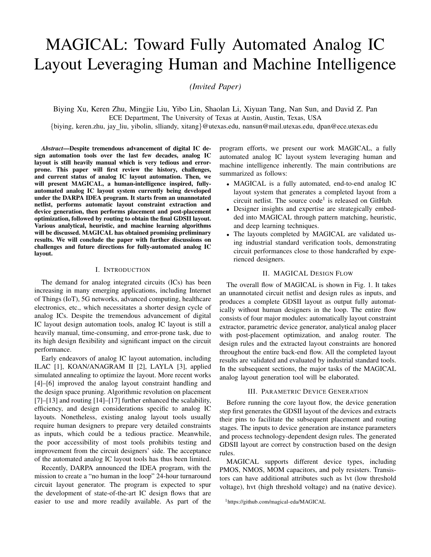

(c) layout from MAGICAL

circuit netlist (supporting both Spectre and HSPICE format), and the post-layout performances are close to the manual designs by experienced designers. Some performance metrics including input-referred offset and CMRR could be further improved by extensively considering layout dependent effects, minimizing coupling to sensitive nets, etc. Figures 4, 5, 6, and 7 show the circuit schematics, the handcrafted layouts, and the layout results by MAGICAL of the benchmark circuits. Note that some device parameters of the manual layout may not necessary match the schematic after adjustment by layout designers, e.g., number of fingers for transistors, while MAGI-CAL generates the device layouts corresponding to the circuit netlist. Therefore, the devices in the manual layout may appear to be different from those generated by MAGICAL.

TABLE V RUNTIME OF MAGICAL.

| Circuit       | <b>COMP</b> | $\sqrt{CTA1}$ | $\overline{O}$ OTA2 | $\overline{\phantom{a}}$ OTA3 |
|---------------|-------------|---------------|---------------------|-------------------------------|
| Runtime $(s)$ | 3.91        | 10.51         | 6.03                | 26.6                          |

Table V shows the runtime for the full MAGICAL flow. As shown in the table, it can generate the complete routed layout in seconds, while manual layouts usually take hours. The fast turn-around time could significantly shorten the design cycle and facilitate the design closure.

## VIII. FUTURE DIRECTIONS

# Future directions of MAGICAL include the followings.

*1) Interaction with Open-Sourced EDA Ecosystem:* Encouraged by the DARPA IDEA/POSH program, a number of open-source projects have emerged recently [32]–[34].

Fig. 5. Miller-compensated OTA circuit schematic, manual layout, and layout result from MAGICAL.

Being part of the open hardware/EDA ecosystem, the future development of the MAGICAL will both benefit from and contribute to the community.

MGICAL can learn from the recent emerging open-source EDA tools. Both AMS and digital layout automation flows share many common infrastructural components with MAGI-CAL, e.g., OpenROAD [33] which aims to build a completely open-source digital physical design flow and ALIGN [34] which is another AMS layout generator. Although the existing components in different open-source EDA tools may have different algorithms and methodologies, there are some overlapping between their functionality. For example, ALIGN, RAIL [35], and MAGICAL all contain modules for generating the device layouts. Similarly, ALIGN, TritonRoute [36], DR. CU [37], and MAGICAL all provide different implementations of detailed router. It would be beneficial for the community to leverage some well-established efforts from each other and focus on the key differentiation. Besides the physical design framework, there are also open-source utilities that could be valuable for applying in MAGICAL. For instance, Cpptaskflow [38] can potentially be applied in MAGICAL for improving efficiency by parallelizing the algorithm, and circuit sanitizer [39] would make sharing designs easier among the community by avoiding disclosing process design kit (PDK) related information.

Besides the EDA tools, open-sourcing AMS circuit designs is another driving force for AMS layout automation. On one hand, lacking of training data has been a major challenge in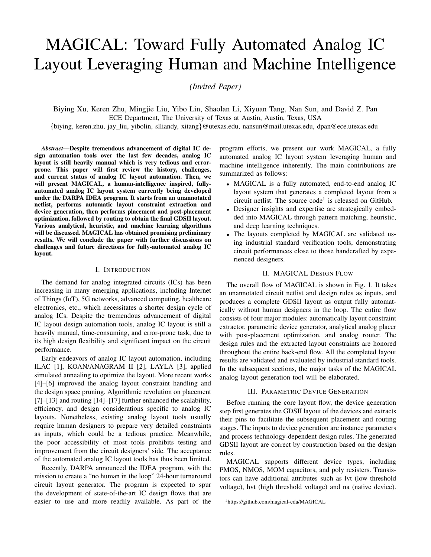

Fig. 6. Feed-foward compensated OTA circuit schematic, manual layout, and layout result from MAGICAL.

machine learning-based EDA algorithm, e.g., [29], [31]. On the other hand, the lack of a unified test circuit benchmark suite makes it difficult to evaluate and compare different AMS EDA tools. Recently, both MAGICAL and the other DARPA IDEA/POSH teams have released a number of PDK information stripped state-of-the-art AMS designs, including state-of-the-art SAR ADCs [40], ADCs [41], [42], VCObased ADCs [43], [44], and temperature sensors [45], [46], etc. Open-source designs not only make it possible for the EDA tools to have common evaluation metrics, but also provide training data for machine learning-basd EDA algorithms.

*2) Performance-aware Layout Constraint Generation, Place and Route (P&R) Flow:* While MAGICAL has demonstrated satisfactory results, it currently only minimizes post-layout circuit performance degradation implicitly by considering the analog layout constraints. Approaches for directly optimizing circuit performance still need to be integrated into the current flow. In the future research and development, MAGICAL will investigate into the performance-aware techniques, especially machine learning algorithms, throughout its entire flow. As an example, in addition to the component-level symmetry constraint generation, MAGICAL will try to extract net criticality constraints and system-level symmetry from the netlists. On the other hand, with the recent advancement in neural network-guided physical design algorithms including [31], MAGICAL will further leverage human and machine intelligence in the P&R flow.

*3) System-level Hierarchical Layout Optimization:* Modern mixed-signal circuits, such as data converters, are hierarchical



Fig. 7. Inverter-based OTA circuit schematic, manual layout, and layout result from MAGICAL.

designs with both analog and digital parts. Currently MAGI-CAL is focusing on the component-level analog circuit blocks such as OTAs and comparators. Although those circuits are usually among the most representative and crucial parts of the system, system-level hierarchical layout flow is still essential for the target of fully-automating AMS layout generation. To optimize the layout in the system level, floorplanning and system interconnection synthesis algorithms will also be the future development directions of MAGICAL.

# IX. CONCLUSION

In this paper, we present MAGICAL, an open-source fully automated end-to-end analog IC layout system from circuit netlists to GDSII layouts. Human and machine intelligence are strategically incorporated into MAGICAL by pattern matching and deep learning techniques. The circuit performances of the layouts completed by MAGICAL are close to those handcrafted by experienced designers, while the design cycle is shortened substantially. Future work includes further improvements on circuit performance-aware and system-level layout optimization.